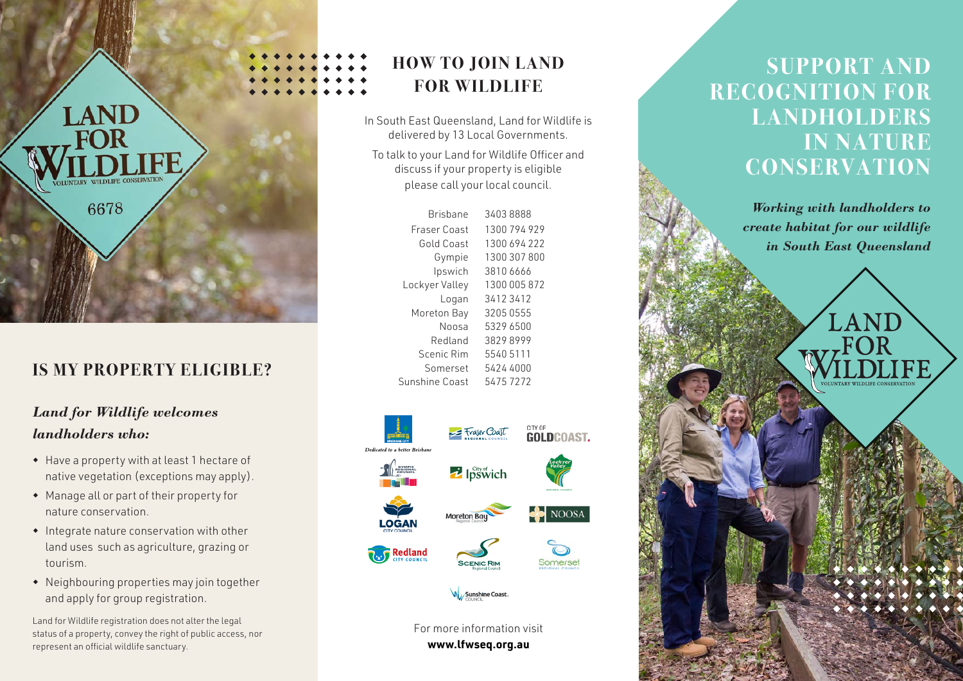

Brisbane 3403 8888 Francisco Politica 1300 794 929 929

**ntact Use** 

### **IS MY PROPERTY ELIGIBLE?**

### *Land for Wildlife welcomes landholders who:*

- w Have a property with at least 1 hectare of native vegetation (exceptions may apply).
- $\bullet$  Manage all or part of their property for nature conservation.
- $\bullet$  Integrate nature conservation with other land uses such as agriculture, grazing or tourism.
- $\bullet$  Neighbouring properties may join together and apply for group registration.

Land for Wildlife registration does not alter the legal status of a property, convey the right of public access, nor represent an official wildlife sanctuary.

#### **ntact Us** Brisbane 3403 8888 **HOW TO JOIN LAND FOR WILDLIFE**

In South East Queensland, Land for Wildlife is delivered by 13 Local Governments.

To talk to your Land for Wildlife Officer and discuss if your property is eligible<br>... predse early four rocal countries please call your local council.

| Brishane       | 3403 8888    |
|----------------|--------------|
| Fraser Coast   | 1300 794 929 |
| Gold Coast     | 1300 694 222 |
| Gympie         | 1300 307 800 |
| Ipswich        | 3810 6666    |
| Lockyer Valley | 1300 005 872 |
| Logan          | 34123412     |
| Moreton Bay    | 3205 0555    |
| Noosa          | 5329 6500    |
| Redland        | 38298999     |
| Scenic Rim     | 5540 5111    |
| Somerset       | 5424 4000    |
| Sunshine Coast | 54757272     |



For more information visit **www.lfwseq.org.au**

# **SUPPORT AND RECOGNITION FOR LANDHOLDERS IN NATURE CONSERVATION**

*Working with landholders to create habitat for our wildlife in South East Queensland*